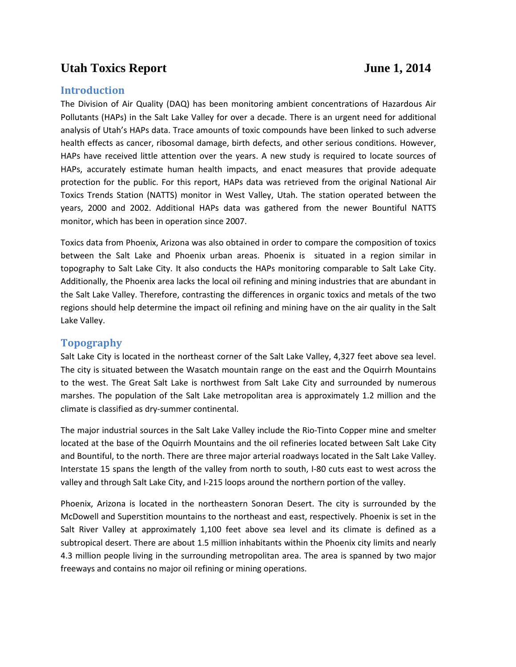# Utah Toxics Report June 1, 2014

# **Introduction**

The Division of Air Quality (DAQ) has been monitoring ambient concentrations of Hazardous Air Pollutants (HAPs) in the Salt Lake Valley for over a decade. There is an urgent need for additional analysis of Utah's HAPs data. Trace amounts of toxic compounds have been linked to such adverse health effects as cancer, ribosomal damage, birth defects, and other serious conditions. However, HAPs have received little attention over the years. A new study is required to locate sources of HAPs, accurately estimate human health impacts, and enact measures that provide adequate protection for the public. For this report, HAPs data was retrieved from the original National Air Toxics Trends Station (NATTS) monitor in West Valley, Utah. The station operated between the years, 2000 and 2002. Additional HAPs data was gathered from the newer Bountiful NATTS monitor, which has been in operation since 2007.

Toxics data from Phoenix, Arizona was also obtained in order to compare the composition of toxics between the Salt Lake and Phoenix urban areas. Phoenix is situated in a region similar in topography to Salt Lake City. It also conducts the HAPs monitoring comparable to Salt Lake City. Additionally, the Phoenix area lacks the local oil refining and mining industries that are abundant in the Salt Lake Valley. Therefore, contrasting the differences in organic toxics and metals of the two regions should help determine the impact oil refining and mining have on the air quality in the Salt Lake Valley.

# **Topography**

Salt Lake City is located in the northeast corner of the Salt Lake Valley, 4,327 feet above sea level. The city is situated between the Wasatch mountain range on the east and the Oquirrh Mountains to the west. The Great Salt Lake is northwest from Salt Lake City and surrounded by numerous marshes. The population of the Salt Lake metropolitan area is approximately 1.2 million and the climate is classified as dry-summer continental.

The major industrial sources in the Salt Lake Valley include the Rio-Tinto Copper mine and smelter located at the base of the Oquirrh Mountains and the oil refineries located between Salt Lake City and Bountiful, to the north. There are three major arterial roadways located in the Salt Lake Valley. Interstate 15 spans the length of the valley from north to south, I-80 cuts east to west across the valley and through Salt Lake City, and I-215 loops around the northern portion of the valley.

Phoenix, Arizona is located in the northeastern Sonoran Desert. The city is surrounded by the McDowell and Superstition mountains to the northeast and east, respectively. Phoenix is set in the Salt River Valley at approximately 1,100 feet above sea level and its climate is defined as a subtropical desert. There are about 1.5 million inhabitants within the Phoenix city limits and nearly 4.3 million people living in the surrounding metropolitan area. The area is spanned by two major freeways and contains no major oil refining or mining operations.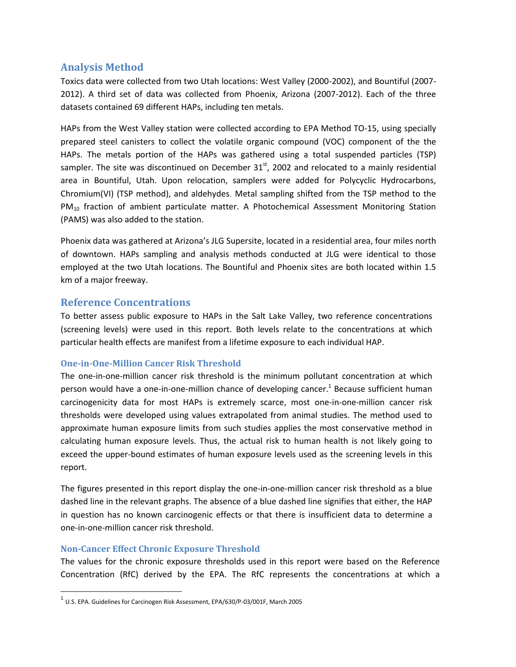# **Analysis Method**

Toxics data were collected from two Utah locations: West Valley (2000-2002), and Bountiful (2007- 2012). A third set of data was collected from Phoenix, Arizona (2007-2012). Each of the three datasets contained 69 different HAPs, including ten metals.

HAPs from the West Valley station were collected according to EPA Method TO-15, using specially prepared steel canisters to collect the volatile organic compound (VOC) component of the the HAPs. The metals portion of the HAPs was gathered using a total suspended particles (TSP) sampler. The site was discontinued on December  $31<sup>st</sup>$ , 2002 and relocated to a mainly residential area in Bountiful, Utah. Upon relocation, samplers were added for Polycyclic Hydrocarbons, Chromium(VI) (TSP method), and aldehydes. Metal sampling shifted from the TSP method to the PM<sub>10</sub> fraction of ambient particulate matter. A Photochemical Assessment Monitoring Station (PAMS) was also added to the station.

Phoenix data was gathered at Arizona's JLG Supersite, located in a residential area, four miles north of downtown. HAPs sampling and analysis methods conducted at JLG were identical to those employed at the two Utah locations. The Bountiful and Phoenix sites are both located within 1.5 km of a major freeway.

# **Reference Concentrations**

To better assess public exposure to HAPs in the Salt Lake Valley, two reference concentrations (screening levels) were used in this report. Both levels relate to the concentrations at which particular health effects are manifest from a lifetime exposure to each individual HAP.

# **One-in-One-Million Cancer Risk Threshold**

The one-in-one-million cancer risk threshold is the minimum pollutant concentration at which person would have a one-in-one-million chance of developing cancer.<sup>1</sup> Because sufficient human carcinogenicity data for most HAPs is extremely scarce, most one-in-one-million cancer risk thresholds were developed using values extrapolated from animal studies. The method used to approximate human exposure limits from such studies applies the most conservative method in calculating human exposure levels. Thus, the actual risk to human health is not likely going to exceed the upper-bound estimates of human exposure levels used as the screening levels in this report.

The figures presented in this report display the one-in-one-million cancer risk threshold as a blue dashed line in the relevant graphs. The absence of a blue dashed line signifies that either, the HAP in question has no known carcinogenic effects or that there is insufficient data to determine a one-in-one-million cancer risk threshold.

# **Non-Cancer Effect Chronic Exposure Threshold**

 $\overline{\phantom{a}}$ 

The values for the chronic exposure thresholds used in this report were based on the Reference Concentration (RfC) derived by the EPA. The RfC represents the concentrations at which a

 $^1$  U.S. EPA. Guidelines for Carcinogen Risk Assessment, EPA/630/P-03/001F, March 2005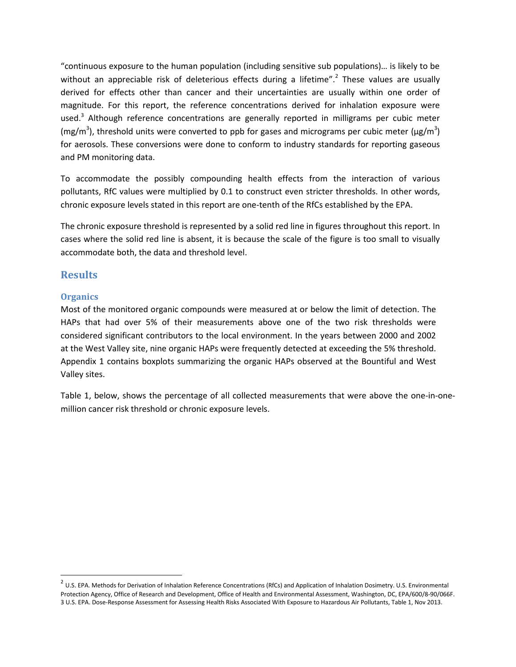"continuous exposure to the human population (including sensitive sub populations)… is likely to be without an appreciable risk of deleterious effects during a lifetime".<sup>2</sup> These values are usually derived for effects other than cancer and their uncertainties are usually within one order of magnitude. For this report, the reference concentrations derived for inhalation exposure were used.<sup>3</sup> Although reference concentrations are generally reported in milligrams per cubic meter (mg/m<sup>3</sup>), threshold units were converted to ppb for gases and micrograms per cubic meter ( $\mu$ g/m<sup>3</sup>) for aerosols. These conversions were done to conform to industry standards for reporting gaseous and PM monitoring data.

To accommodate the possibly compounding health effects from the interaction of various pollutants, RfC values were multiplied by 0.1 to construct even stricter thresholds. In other words, chronic exposure levels stated in this report are one-tenth of the RfCs established by the EPA.

The chronic exposure threshold is represented by a solid red line in figures throughout this report. In cases where the solid red line is absent, it is because the scale of the figure is too small to visually accommodate both, the data and threshold level.

# **Results**

# **Organics**

 $\overline{\phantom{a}}$ 

Most of the monitored organic compounds were measured at or below the limit of detection. The HAPs that had over 5% of their measurements above one of the two risk thresholds were considered significant contributors to the local environment. In the years between 2000 and 2002 at the West Valley site, nine organic HAPs were frequently detected at exceeding the 5% threshold. Appendix 1 contains boxplots summarizing the organic HAPs observed at the Bountiful and West Valley sites.

Table 1, below, shows the percentage of all collected measurements that were above the one-in-onemillion cancer risk threshold or chronic exposure levels.

 $^2$  U.S. EPA. Methods for Derivation of Inhalation Reference Concentrations (RfCs) and Application of Inhalation Dosimetry. U.S. Environmental Protection Agency, Office of Research and Development, Office of Health and Environmental Assessment, Washington, DC, EPA/600/8-90/066F. 3 U.S. EPA. Dose-Response Assessment for Assessing Health Risks Associated With Exposure to Hazardous Air Pollutants, Table 1, Nov 2013.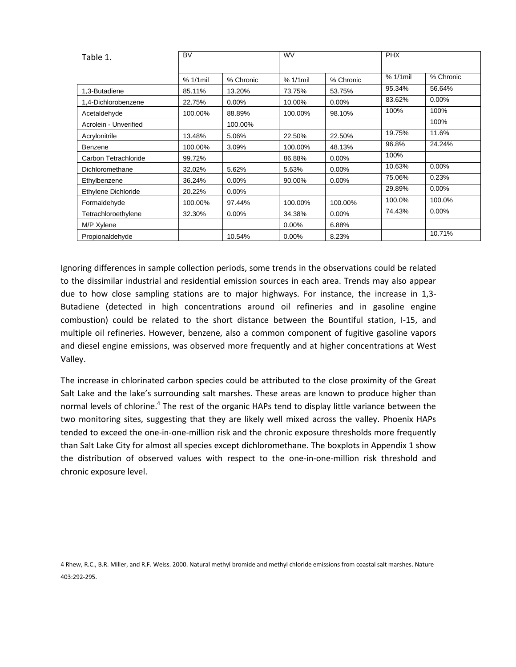| Table 1.              | <b>BV</b>   |           | <b>WV</b>   |           | <b>PHX</b>  |           |
|-----------------------|-------------|-----------|-------------|-----------|-------------|-----------|
|                       | $% 1/1$ mil | % Chronic | $% 1/1$ mil | % Chronic | $% 1/1$ mil | % Chronic |
| 1,3-Butadiene         | 85.11%      | 13.20%    | 73.75%      | 53.75%    | 95.34%      | 56.64%    |
| 1,4-Dichlorobenzene   | 22.75%      | 0.00%     | 10.00%      | $0.00\%$  | 83.62%      | 0.00%     |
| Acetaldehyde          | 100.00%     | 88.89%    | 100.00%     | 98.10%    | 100%        | 100%      |
| Acrolein - Unverified |             | 100.00%   |             |           |             | 100%      |
| Acrylonitrile         | 13.48%      | 5.06%     | 22.50%      | 22.50%    | 19.75%      | 11.6%     |
| Benzene               | 100.00%     | 3.09%     | 100.00%     | 48.13%    | 96.8%       | 24.24%    |
| Carbon Tetrachloride  | 99.72%      |           | 86.88%      | $0.00\%$  | 100%        |           |
| Dichloromethane       | 32.02%      | 5.62%     | 5.63%       | $0.00\%$  | 10.63%      | 0.00%     |
| Ethylbenzene          | 36.24%      | 0.00%     | 90.00%      | 0.00%     | 75.06%      | 0.23%     |
| Ethylene Dichloride   | 20.22%      | $0.00\%$  |             |           | 29.89%      | $0.00\%$  |
| Formaldehyde          | 100.00%     | 97.44%    | 100.00%     | 100.00%   | 100.0%      | 100.0%    |
| Tetrachloroethylene   | 32.30%      | 0.00%     | 34.38%      | 0.00%     | 74.43%      | 0.00%     |
| M/P Xylene            |             |           | $0.00\%$    | 6.88%     |             |           |
| Propionaldehyde       |             | 10.54%    | $0.00\%$    | 8.23%     |             | 10.71%    |

Ignoring differences in sample collection periods, some trends in the observations could be related to the dissimilar industrial and residential emission sources in each area. Trends may also appear due to how close sampling stations are to major highways. For instance, the increase in 1,3- Butadiene (detected in high concentrations around oil refineries and in gasoline engine combustion) could be related to the short distance between the Bountiful station, I-15, and multiple oil refineries. However, benzene, also a common component of fugitive gasoline vapors and diesel engine emissions, was observed more frequently and at higher concentrations at West Valley.

The increase in chlorinated carbon species could be attributed to the close proximity of the Great Salt Lake and the lake's surrounding salt marshes. These areas are known to produce higher than normal levels of chlorine.<sup>4</sup> The rest of the organic HAPs tend to display little variance between the two monitoring sites, suggesting that they are likely well mixed across the valley. Phoenix HAPs tended to exceed the one-in-one-million risk and the chronic exposure thresholds more frequently than Salt Lake City for almost all species except dichloromethane. The boxplots in Appendix 1 show the distribution of observed values with respect to the one-in-one-million risk threshold and chronic exposure level.

 $\overline{\phantom{a}}$ 

<sup>4</sup> Rhew, R.C., B.R. Miller, and R.F. Weiss. 2000. Natural methyl bromide and methyl chloride emissions from coastal salt marshes. Nature 403:292-295.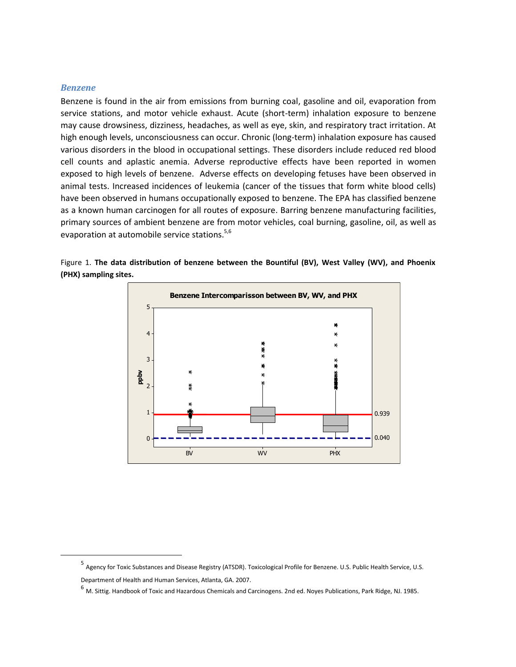#### *Benzene*

 $\overline{\phantom{a}}$ 

Benzene is found in the air from emissions from burning coal, gasoline and oil, evaporation from service stations, and motor vehicle exhaust. Acute (short-term) inhalation exposure to benzene may cause drowsiness, dizziness, headaches, as well as eye, skin, and respiratory tract irritation. At high enough levels, unconsciousness can occur. Chronic (long-term) inhalation exposure has caused various disorders in the blood in occupational settings. These disorders include reduced red blood cell counts and aplastic anemia. Adverse reproductive effects have been reported in women exposed to high levels of benzene. Adverse effects on developing fetuses have been observed in animal tests. Increased incidences of leukemia (cancer of the tissues that form white blood cells) have been observed in humans occupationally exposed to benzene. The EPA has classified benzene as a known human carcinogen for all routes of exposure. Barring benzene manufacturing facilities, primary sources of ambient benzene are from motor vehicles, coal burning, gasoline, oil, as well as evaporation at automobile service stations.<sup>5,6</sup>



Figure 1. **The data distribution of benzene between the Bountiful (BV), West Valley (WV), and Phoenix (PHX) sampling sites.**

<sup>5</sup> Agency for Toxic Substances and Disease Registry (ATSDR). Toxicological Profile for Benzene. U.S. Public Health Service, U.S. Department of Health and Human Services, Atlanta, GA. 2007.

 $^6$  M. Sittig. Handbook of Toxic and Hazardous Chemicals and Carcinogens. 2nd ed. Noyes Publications, Park Ridge, NJ. 1985.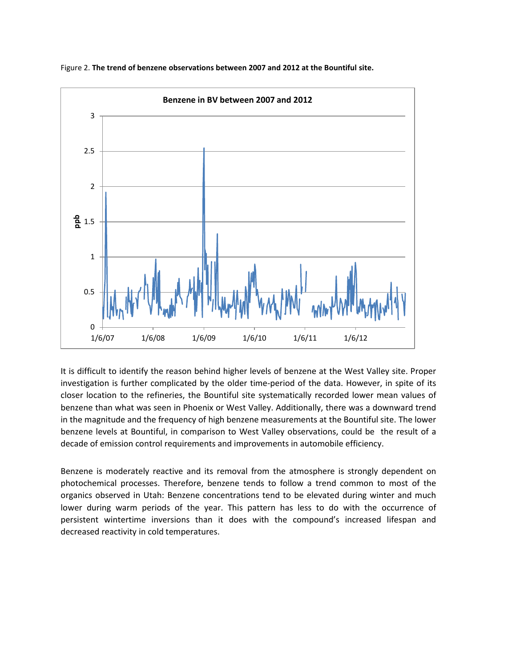

Figure 2. **The trend of benzene observations between 2007 and 2012 at the Bountiful site.**

It is difficult to identify the reason behind higher levels of benzene at the West Valley site. Proper investigation is further complicated by the older time-period of the data. However, in spite of its closer location to the refineries, the Bountiful site systematically recorded lower mean values of benzene than what was seen in Phoenix or West Valley. Additionally, there was a downward trend in the magnitude and the frequency of high benzene measurements at the Bountiful site. The lower benzene levels at Bountiful, in comparison to West Valley observations, could be the result of a decade of emission control requirements and improvements in automobile efficiency.

Benzene is moderately reactive and its removal from the atmosphere is strongly dependent on photochemical processes. Therefore, benzene tends to follow a trend common to most of the organics observed in Utah: Benzene concentrations tend to be elevated during winter and much lower during warm periods of the year. This pattern has less to do with the occurrence of persistent wintertime inversions than it does with the compound's increased lifespan and decreased reactivity in cold temperatures.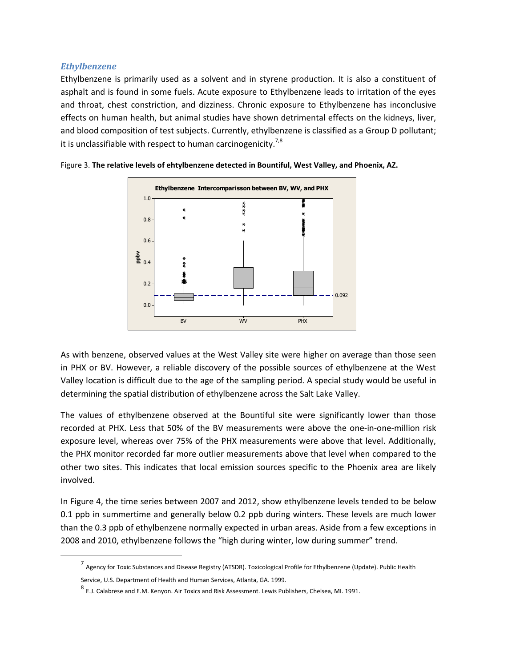## *Ethylbenzene*

 $\overline{\phantom{a}}$ 

Ethylbenzene is primarily used as a solvent and in styrene production. It is also a constituent of asphalt and is found in some fuels. Acute exposure to Ethylbenzene leads to irritation of the eyes and throat, chest constriction, and dizziness. Chronic exposure to Ethylbenzene has inconclusive effects on human health, but animal studies have shown detrimental effects on the kidneys, liver, and blood composition of test subjects. Currently, ethylbenzene is classified as a Group D pollutant; it is unclassifiable with respect to human carcinogenicity.<sup>7,8</sup>



Figure 3. **The relative levels of ehtylbenzene detected in Bountiful, West Valley, and Phoenix, AZ.**

As with benzene, observed values at the West Valley site were higher on average than those seen in PHX or BV. However, a reliable discovery of the possible sources of ethylbenzene at the West Valley location is difficult due to the age of the sampling period. A special study would be useful in determining the spatial distribution of ethylbenzene across the Salt Lake Valley.

The values of ethylbenzene observed at the Bountiful site were significantly lower than those recorded at PHX. Less that 50% of the BV measurements were above the one-in-one-million risk exposure level, whereas over 75% of the PHX measurements were above that level. Additionally, the PHX monitor recorded far more outlier measurements above that level when compared to the other two sites. This indicates that local emission sources specific to the Phoenix area are likely involved.

In Figure 4, the time series between 2007 and 2012, show ethylbenzene levels tended to be below 0.1 ppb in summertime and generally below 0.2 ppb during winters. These levels are much lower than the 0.3 ppb of ethylbenzene normally expected in urban areas. Aside from a few exceptions in 2008 and 2010, ethylbenzene follows the "high during winter, low during summer" trend.

<sup>7</sup> Agency for Toxic Substances and Disease Registry (ATSDR). Toxicological Profile for Ethylbenzene (Update). Public Health Service, U.S. Department of Health and Human Services, Atlanta, GA. 1999.

<sup>&</sup>lt;sup>8</sup> E.J. Calabrese and E.M. Kenyon. Air Toxics and Risk Assessment. Lewis Publishers, Chelsea, MI. 1991.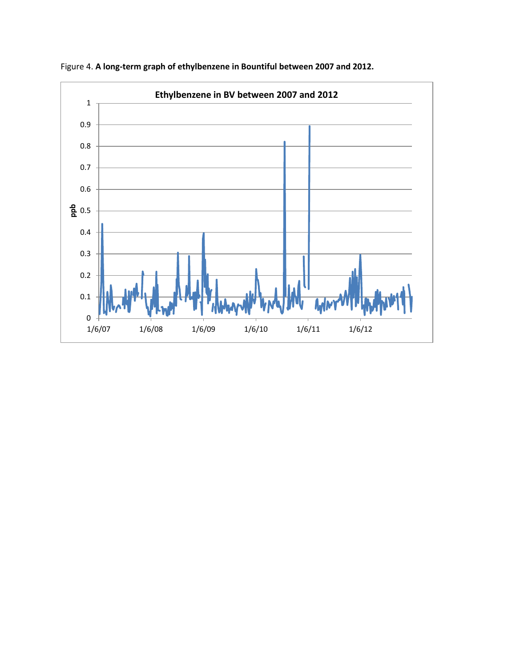

Figure 4. **A long-term graph of ethylbenzene in Bountiful between 2007 and 2012.**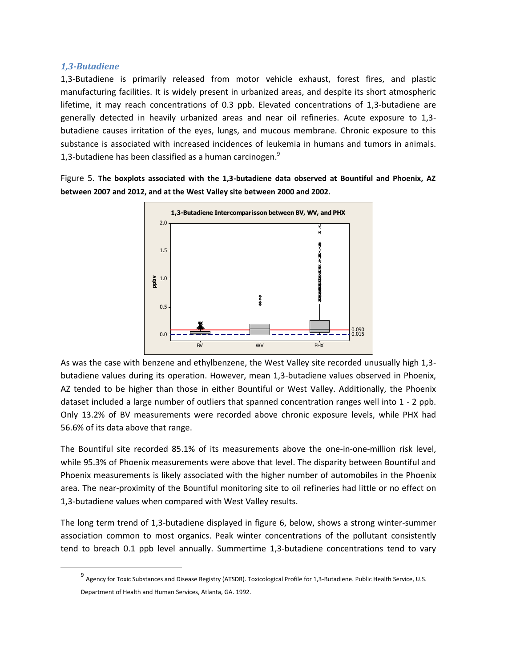#### *1,3-Butadiene*

 $\overline{\phantom{a}}$ 

1,3-Butadiene is primarily released from motor vehicle exhaust, forest fires, and plastic manufacturing facilities. It is widely present in urbanized areas, and despite its short atmospheric lifetime, it may reach concentrations of 0.3 ppb. Elevated concentrations of 1,3-butadiene are generally detected in heavily urbanized areas and near oil refineries. Acute exposure to 1,3 butadiene causes irritation of the eyes, lungs, and mucous membrane. Chronic exposure to this substance is associated with increased incidences of leukemia in humans and tumors in animals. 1,3-butadiene has been classified as a human carcinogen. $<sup>9</sup>$ </sup>

Figure 5. **The boxplots associated with the 1,3-butadiene data observed at Bountiful and Phoenix, AZ between 2007 and 2012, and at the West Valley site between 2000 and 2002**.



As was the case with benzene and ethylbenzene, the West Valley site recorded unusually high 1,3 butadiene values during its operation. However, mean 1,3-butadiene values observed in Phoenix, AZ tended to be higher than those in either Bountiful or West Valley. Additionally, the Phoenix dataset included a large number of outliers that spanned concentration ranges well into 1 - 2 ppb. Only 13.2% of BV measurements were recorded above chronic exposure levels, while PHX had 56.6% of its data above that range.

The Bountiful site recorded 85.1% of its measurements above the one-in-one-million risk level, while 95.3% of Phoenix measurements were above that level. The disparity between Bountiful and Phoenix measurements is likely associated with the higher number of automobiles in the Phoenix area. The near-proximity of the Bountiful monitoring site to oil refineries had little or no effect on 1,3-butadiene values when compared with West Valley results.

The long term trend of 1,3-butadiene displayed in figure 6, below, shows a strong winter-summer association common to most organics. Peak winter concentrations of the pollutant consistently tend to breach 0.1 ppb level annually. Summertime 1,3-butadiene concentrations tend to vary

<sup>&</sup>lt;sup>9</sup> Agency for Toxic Substances and Disease Registry (ATSDR). Toxicological Profile for 1,3-Butadiene. Public Health Service, U.S. Department of Health and Human Services, Atlanta, GA. 1992.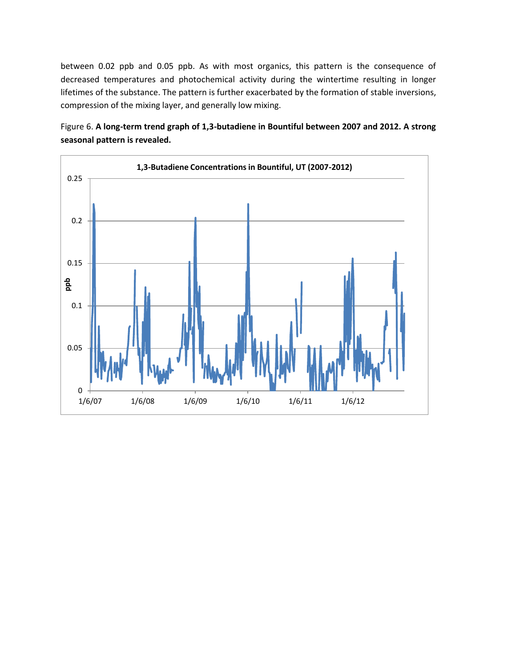between 0.02 ppb and 0.05 ppb. As with most organics, this pattern is the consequence of decreased temperatures and photochemical activity during the wintertime resulting in longer lifetimes of the substance. The pattern is further exacerbated by the formation of stable inversions, compression of the mixing layer, and generally low mixing.

Figure 6. **A long-term trend graph of 1,3-butadiene in Bountiful between 2007 and 2012. A strong seasonal pattern is revealed.**

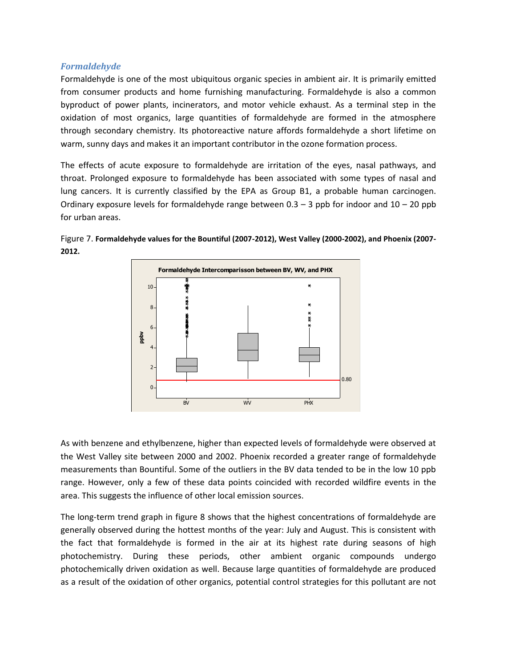## *Formaldehyde*

Formaldehyde is one of the most ubiquitous organic species in ambient air. It is primarily emitted from consumer products and home furnishing manufacturing. Formaldehyde is also a common byproduct of power plants, incinerators, and motor vehicle exhaust. As a terminal step in the oxidation of most organics, large quantities of formaldehyde are formed in the atmosphere through secondary chemistry. Its photoreactive nature affords formaldehyde a short lifetime on warm, sunny days and makes it an important contributor in the ozone formation process.

The effects of acute exposure to formaldehyde are irritation of the eyes, nasal pathways, and throat. Prolonged exposure to formaldehyde has been associated with some types of nasal and lung cancers. It is currently classified by the EPA as Group B1, a probable human carcinogen. Ordinary exposure levels for formaldehyde range between  $0.3 - 3$  ppb for indoor and  $10 - 20$  ppb for urban areas.





As with benzene and ethylbenzene, higher than expected levels of formaldehyde were observed at the West Valley site between 2000 and 2002. Phoenix recorded a greater range of formaldehyde measurements than Bountiful. Some of the outliers in the BV data tended to be in the low 10 ppb range. However, only a few of these data points coincided with recorded wildfire events in the area. This suggests the influence of other local emission sources.

The long-term trend graph in figure 8 shows that the highest concentrations of formaldehyde are generally observed during the hottest months of the year: July and August. This is consistent with the fact that formaldehyde is formed in the air at its highest rate during seasons of high photochemistry. During these periods, other ambient organic compounds undergo photochemically driven oxidation as well. Because large quantities of formaldehyde are produced as a result of the oxidation of other organics, potential control strategies for this pollutant are not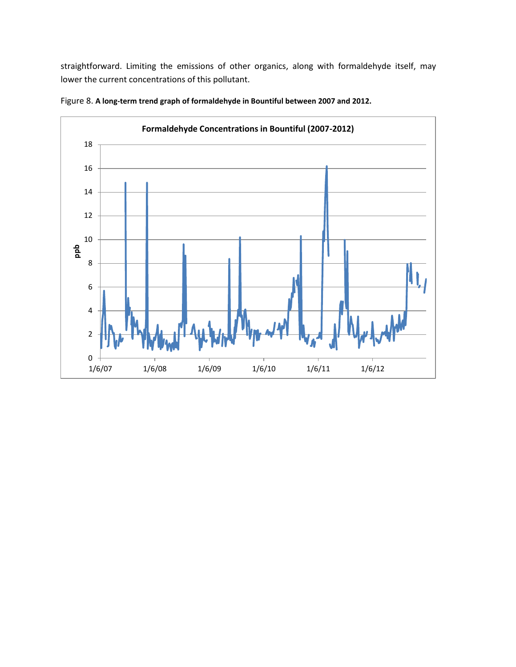straightforward. Limiting the emissions of other organics, along with formaldehyde itself, may lower the current concentrations of this pollutant.



Figure 8. **A long-term trend graph of formaldehyde in Bountiful between 2007 and 2012.**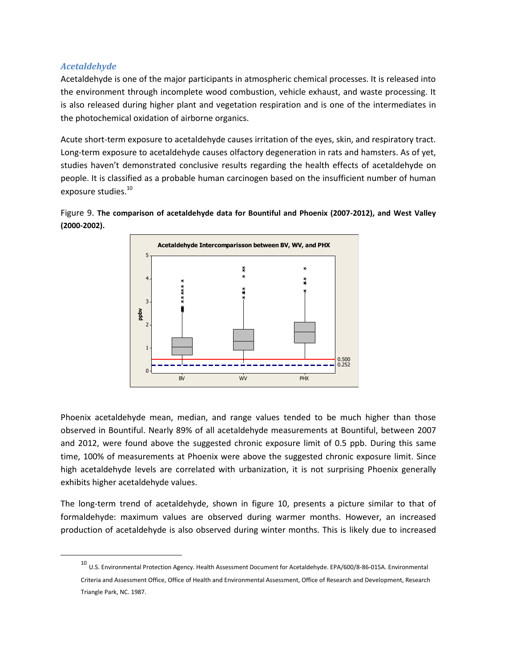# *Acetaldehyde*

 $\overline{\phantom{a}}$ 

Acetaldehyde is one of the major participants in atmospheric chemical processes. It is released into the environment through incomplete wood combustion, vehicle exhaust, and waste processing. It is also released during higher plant and vegetation respiration and is one of the intermediates in the photochemical oxidation of airborne organics.

Acute short-term exposure to acetaldehyde causes irritation of the eyes, skin, and respiratory tract. Long-term exposure to acetaldehyde causes olfactory degeneration in rats and hamsters. As of yet, studies haven't demonstrated conclusive results regarding the health effects of acetaldehyde on people. It is classified as a probable human carcinogen based on the insufficient number of human exposure studies.<sup>10</sup>





Phoenix acetaldehyde mean, median, and range values tended to be much higher than those observed in Bountiful. Nearly 89% of all acetaldehyde measurements at Bountiful, between 2007 and 2012, were found above the suggested chronic exposure limit of 0.5 ppb. During this same time, 100% of measurements at Phoenix were above the suggested chronic exposure limit. Since high acetaldehyde levels are correlated with urbanization, it is not surprising Phoenix generally exhibits higher acetaldehyde values.

The long-term trend of acetaldehyde, shown in figure 10, presents a picture similar to that of formaldehyde: maximum values are observed during warmer months. However, an increased production of acetaldehyde is also observed during winter months. This is likely due to increased

<sup>10</sup> U.S. Environmental Protection Agency. Health Assessment Document for Acetaldehyde. EPA/600/8-86-015A. Environmental Criteria and Assessment Office, Office of Health and Environmental Assessment, Office of Research and Development, Research Triangle Park, NC. 1987.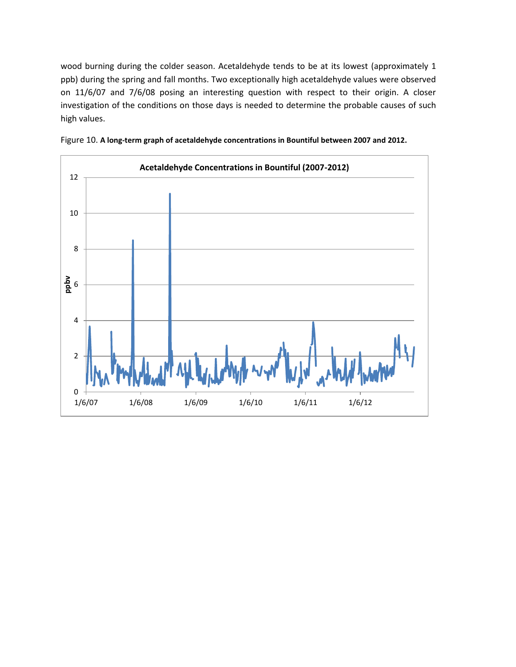wood burning during the colder season. Acetaldehyde tends to be at its lowest (approximately 1 ppb) during the spring and fall months. Two exceptionally high acetaldehyde values were observed on 11/6/07 and 7/6/08 posing an interesting question with respect to their origin. A closer investigation of the conditions on those days is needed to determine the probable causes of such high values.



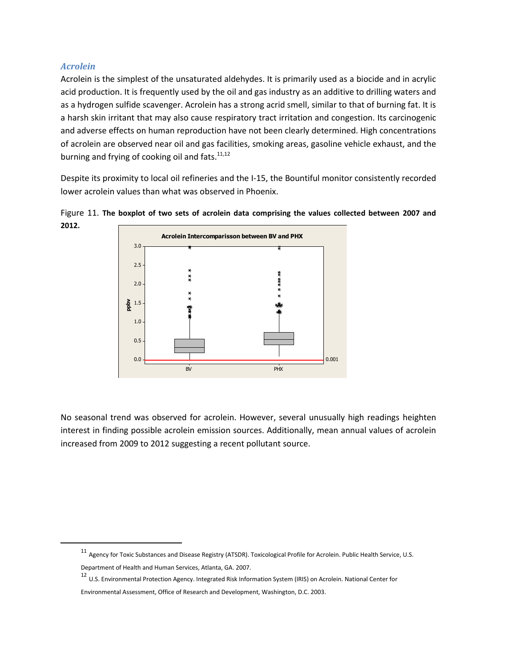## *Acrolein*

 $\overline{a}$ 

Acrolein is the simplest of the unsaturated aldehydes. It is primarily used as a biocide and in acrylic acid production. It is frequently used by the oil and gas industry as an additive to drilling waters and as a hydrogen sulfide scavenger. Acrolein has a strong acrid smell, similar to that of burning fat. It is a harsh skin irritant that may also cause respiratory tract irritation and congestion. Its carcinogenic and adverse effects on human reproduction have not been clearly determined. High concentrations of acrolein are observed near oil and gas facilities, smoking areas, gasoline vehicle exhaust, and the burning and frying of cooking oil and fats. $11,12$ 

Despite its proximity to local oil refineries and the I-15, the Bountiful monitor consistently recorded lower acrolein values than what was observed in Phoenix.



Figure 11. **The boxplot of two sets of acrolein data comprising the values collected between 2007 and 2012.** 

No seasonal trend was observed for acrolein. However, several unusually high readings heighten interest in finding possible acrolein emission sources. Additionally, mean annual values of acrolein increased from 2009 to 2012 suggesting a recent pollutant source.

<sup>11</sup> Agency for Toxic Substances and Disease Registry (ATSDR). [Toxicological Profile for Acrolein.](http://www.atsdr.cdc.gov/tfacts124.html) Public Health Service, U.S. Department of Health and Human Services, Atlanta, GA. 2007.

<sup>12</sup> U.S. Environmental Protection Agency. [Integrated Risk Information System \(IRIS\) on Acrolein.](http://www.epa.gov/iris/subst/0364.htm) National Center for

Environmental Assessment, Office of Research and Development, Washington, D.C. 2003.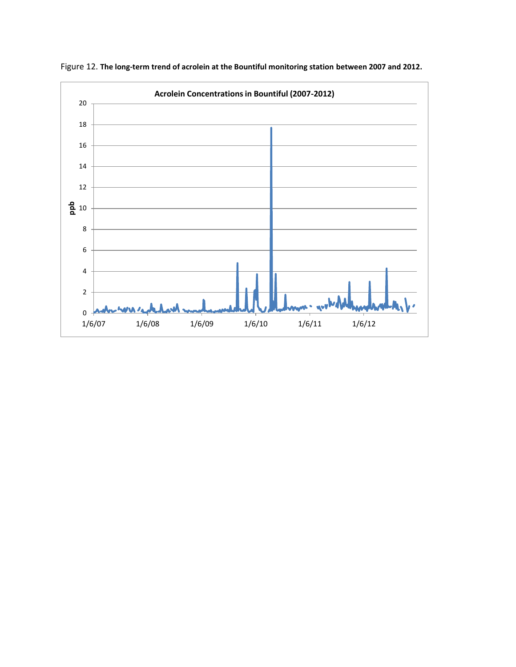

Figure 12. **The long-term trend of acrolein at the Bountiful monitoring station between 2007 and 2012.**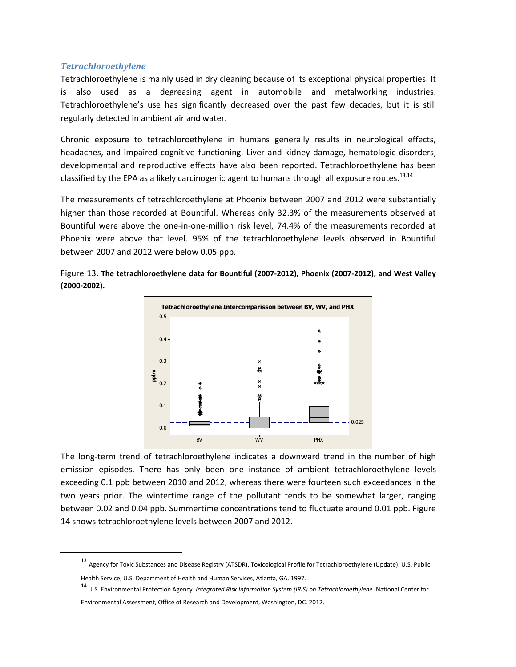#### *Tetrachloroethylene*

 $\overline{a}$ 

Tetrachloroethylene is mainly used in dry cleaning because of its exceptional physical properties. It is also used as a degreasing agent in automobile and metalworking industries. Tetrachloroethylene's use has significantly decreased over the past few decades, but it is still regularly detected in ambient air and water.

Chronic exposure to tetrachloroethylene in humans generally results in neurological effects, headaches, and impaired cognitive functioning. Liver and kidney damage, hematologic disorders, developmental and reproductive effects have also been reported. Tetrachloroethylene has been classified by the EPA as a likely carcinogenic agent to humans through all exposure routes.<sup>13,14</sup>

The measurements of tetrachloroethylene at Phoenix between 2007 and 2012 were substantially higher than those recorded at Bountiful. Whereas only 32.3% of the measurements observed at Bountiful were above the one-in-one-million risk level, 74.4% of the measurements recorded at Phoenix were above that level. 95% of the tetrachloroethylene levels observed in Bountiful between 2007 and 2012 were below 0.05 ppb.

Figure 13. **The tetrachloroethylene data for Bountiful (2007-2012), Phoenix (2007-2012), and West Valley** 





The long-term trend of tetrachloroethylene indicates a downward trend in the number of high emission episodes. There has only been one instance of ambient tetrachloroethylene levels exceeding 0.1 ppb between 2010 and 2012, whereas there were fourteen such exceedances in the two years prior. The wintertime range of the pollutant tends to be somewhat larger, ranging between 0.02 and 0.04 ppb. Summertime concentrations tend to fluctuate around 0.01 ppb. Figure 14 shows tetrachloroethylene levels between 2007 and 2012.

<sup>13</sup> Agency for Toxic Substances and Disease Registry (ATSDR). [Toxicological Profile for Tetrachloroethylene \(Update\).](http://www.atsdr.cdc.gov/toxprofiles/tp.asp?id=265&tid=48) U.S. Public Health Service, U.S. Department of Health and Human Services, Atlanta, GA. 1997.

<sup>14</sup> U.S. Environmental Protection Agency. *[Integrated Risk Information System \(IRIS\) on Tetrachloroethylene](http://www.epa.gov/iris/subst/0106.htm)*. National Center for Environmental Assessment, Office of Research and Development, Washington, DC. 2012.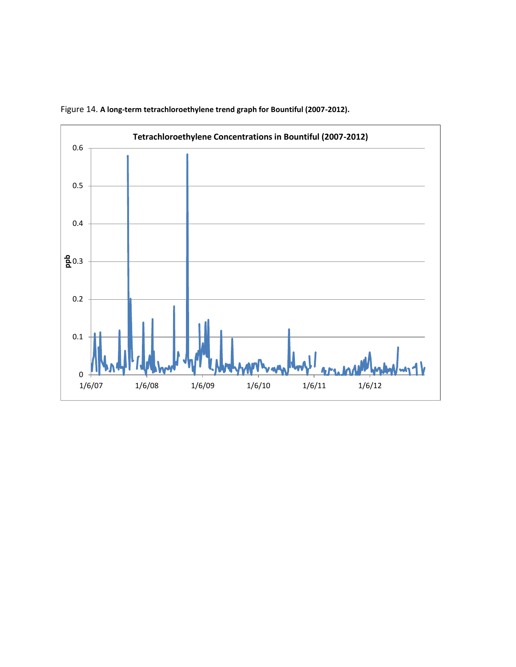

Figure 14. **A long-term tetrachloroethylene trend graph for Bountiful (2007-2012).**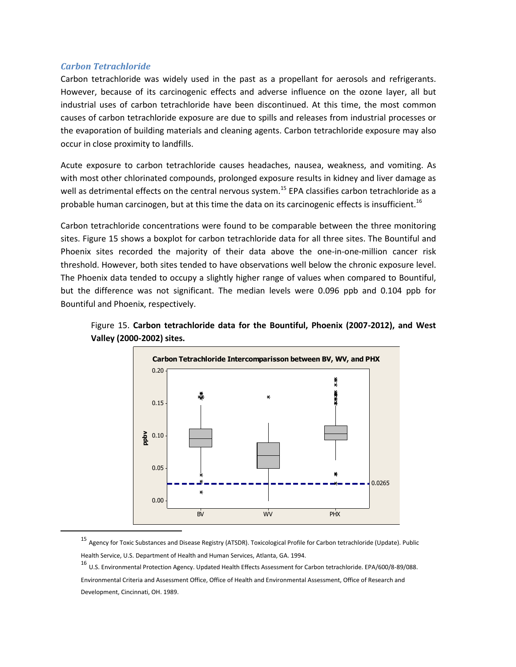#### *Carbon Tetrachloride*

 $\overline{\phantom{a}}$ 

Carbon tetrachloride was widely used in the past as a propellant for aerosols and refrigerants. However, because of its carcinogenic effects and adverse influence on the ozone layer, all but industrial uses of carbon tetrachloride have been discontinued. At this time, the most common causes of carbon tetrachloride exposure are due to spills and releases from industrial processes or the evaporation of building materials and cleaning agents. Carbon tetrachloride exposure may also occur in close proximity to landfills.

Acute exposure to carbon tetrachloride causes headaches, nausea, weakness, and vomiting. As with most other chlorinated compounds, prolonged exposure results in kidney and liver damage as well as detrimental effects on the central nervous system.<sup>15</sup> EPA classifies carbon tetrachloride as a probable human carcinogen, but at this time the data on its carcinogenic effects is insufficient.<sup>16</sup>

Carbon tetrachloride concentrations were found to be comparable between the three monitoring sites. Figure 15 shows a boxplot for carbon tetrachloride data for all three sites. The Bountiful and Phoenix sites recorded the majority of their data above the one-in-one-million cancer risk threshold. However, both sites tended to have observations well below the chronic exposure level. The Phoenix data tended to occupy a slightly higher range of values when compared to Bountiful, but the difference was not significant. The median levels were 0.096 ppb and 0.104 ppb for Bountiful and Phoenix, respectively.





<sup>15</sup> Agency for Toxic Substances and Disease Registry (ATSDR). Toxicological Profile for Carbon tetrachloride (Update). Public Health Service, U.S. Department of Health and Human Services, Atlanta, GA. 1994.

<sup>16</sup> U.S. Environmental Protection Agency. Updated Health Effects Assessment for Carbon tetrachloride. EPA/600/8-89/088.

Environmental Criteria and Assessment Office, Office of Health and Environmental Assessment, Office of Research and Development, Cincinnati, OH. 1989.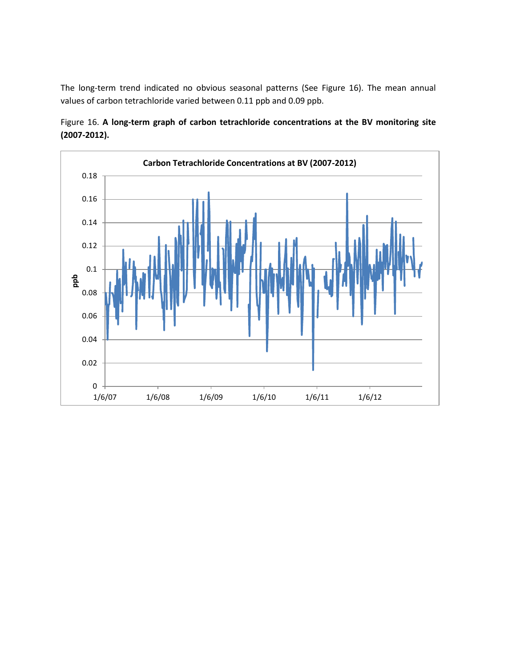The long-term trend indicated no obvious seasonal patterns (See Figure 16). The mean annual values of carbon tetrachloride varied between 0.11 ppb and 0.09 ppb.



Figure 16. **A long-term graph of carbon tetrachloride concentrations at the BV monitoring site (2007-2012).**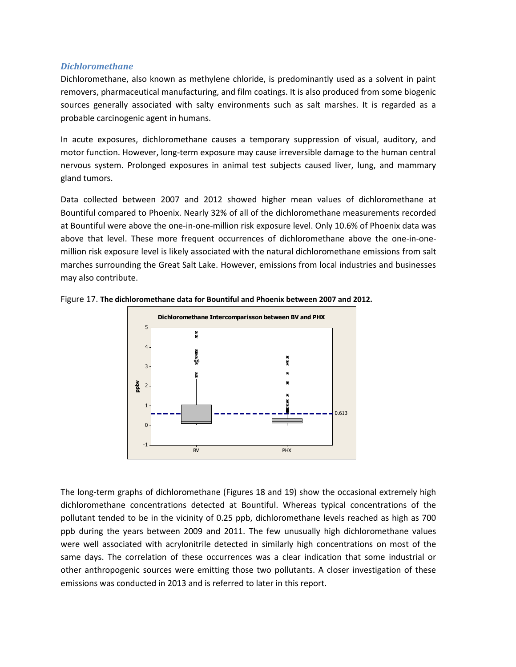#### *Dichloromethane*

Dichloromethane, also known as methylene chloride, is predominantly used as a solvent in paint removers, pharmaceutical manufacturing, and film coatings. It is also produced from some biogenic sources generally associated with salty environments such as salt marshes. It is regarded as a probable carcinogenic agent in humans.

In acute exposures, dichloromethane causes a temporary suppression of visual, auditory, and motor function. However, long-term exposure may cause irreversible damage to the human central nervous system. Prolonged exposures in animal test subjects caused liver, lung, and mammary gland tumors.

Data collected between 2007 and 2012 showed higher mean values of dichloromethane at Bountiful compared to Phoenix. Nearly 32% of all of the dichloromethane measurements recorded at Bountiful were above the one-in-one-million risk exposure level. Only 10.6% of Phoenix data was above that level. These more frequent occurrences of dichloromethane above the one-in-onemillion risk exposure level is likely associated with the natural dichloromethane emissions from salt marches surrounding the Great Salt Lake. However, emissions from local industries and businesses may also contribute.





The long-term graphs of dichloromethane (Figures 18 and 19) show the occasional extremely high dichloromethane concentrations detected at Bountiful. Whereas typical concentrations of the pollutant tended to be in the vicinity of 0.25 ppb, dichloromethane levels reached as high as 700 ppb during the years between 2009 and 2011. The few unusually high dichloromethane values were well associated with acrylonitrile detected in similarly high concentrations on most of the same days. The correlation of these occurrences was a clear indication that some industrial or other anthropogenic sources were emitting those two pollutants. A closer investigation of these emissions was conducted in 2013 and is referred to later in this report.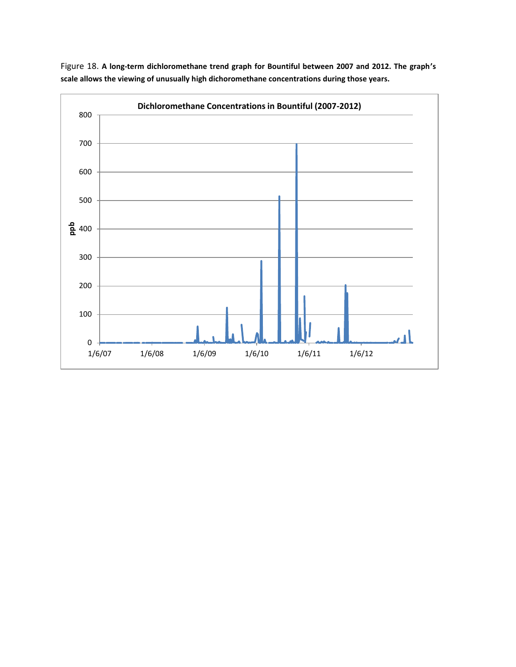

Figure 18. **A long-term dichloromethane trend graph for Bountiful between 2007 and 2012. The graph's scale allows the viewing of unusually high dichoromethane concentrations during those years.**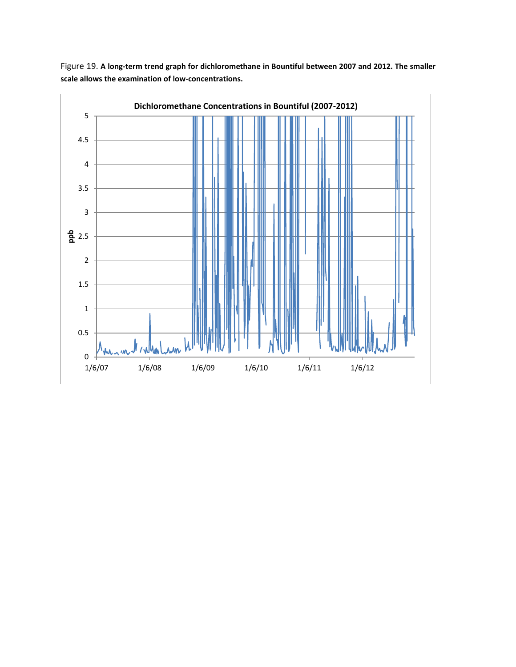

Figure 19. **A long-term trend graph for dichloromethane in Bountiful between 2007 and 2012. The smaller scale allows the examination of low-concentrations.**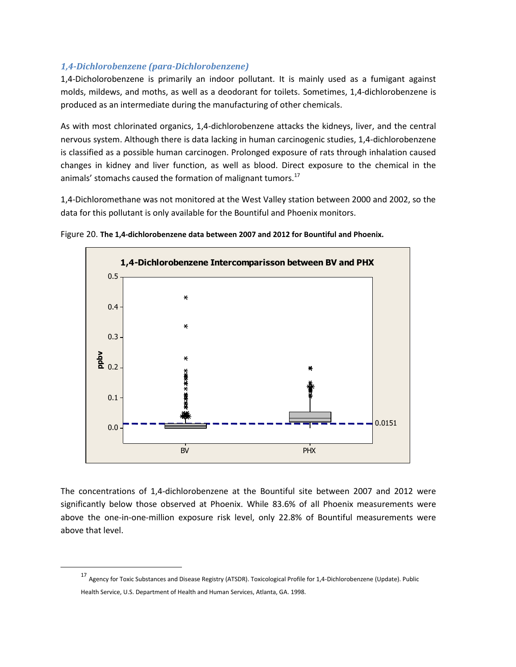# *1,4-Dichlorobenzene (para-Dichlorobenzene)*

1,4-Dicholorobenzene is primarily an indoor pollutant. It is mainly used as a fumigant against molds, mildews, and moths, as well as a deodorant for toilets. Sometimes, 1,4-dichlorobenzene is produced as an intermediate during the manufacturing of other chemicals.

As with most chlorinated organics, 1,4-dichlorobenzene attacks the kidneys, liver, and the central nervous system. Although there is data lacking in human carcinogenic studies, 1,4-dichlorobenzene is classified as a possible human carcinogen. Prolonged exposure of rats through inhalation caused changes in kidney and liver function, as well as blood. Direct exposure to the chemical in the animals' stomachs caused the formation of malignant tumors.<sup>17</sup>

1,4-Dichloromethane was not monitored at the West Valley station between 2000 and 2002, so the data for this pollutant is only available for the Bountiful and Phoenix monitors.





The concentrations of 1,4-dichlorobenzene at the Bountiful site between 2007 and 2012 were significantly below those observed at Phoenix. While 83.6% of all Phoenix measurements were above the one-in-one-million exposure risk level, only 22.8% of Bountiful measurements were above that level.

 $\overline{\phantom{a}}$ 

<sup>17</sup> Agency for Toxic Substances and Disease Registry (ATSDR). Toxicological Profile for 1,4-Dichlorobenzene (Update). Public Health Service, U.S. Department of Health and Human Services, Atlanta, GA. 1998.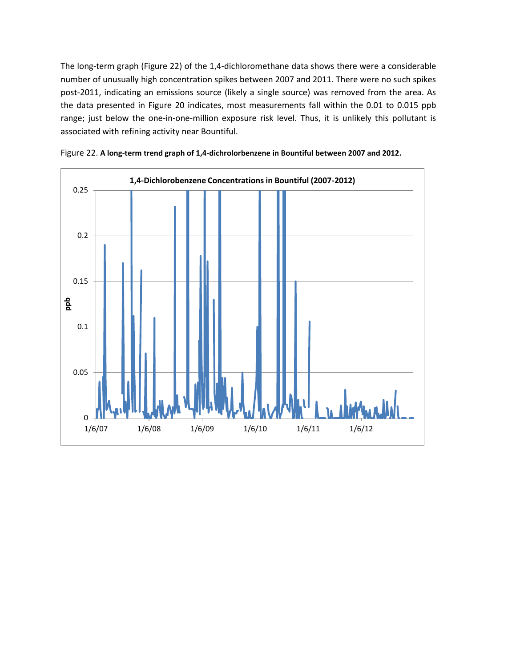The long-term graph (Figure 22) of the 1,4-dichloromethane data shows there were a considerable number of unusually high concentration spikes between 2007 and 2011. There were no such spikes post-2011, indicating an emissions source (likely a single source) was removed from the area. As the data presented in Figure 20 indicates, most measurements fall within the 0.01 to 0.015 ppb range; just below the one-in-one-million exposure risk level. Thus, it is unlikely this pollutant is associated with refining activity near Bountiful.



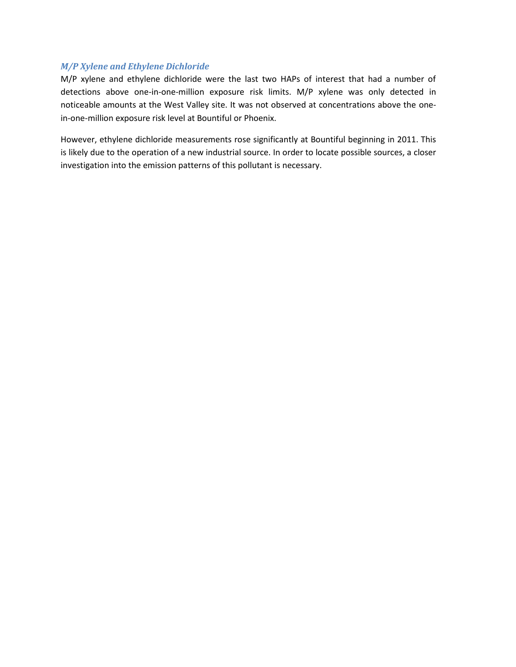# *M/P Xylene and Ethylene Dichloride*

M/P xylene and ethylene dichloride were the last two HAPs of interest that had a number of detections above one-in-one-million exposure risk limits. M/P xylene was only detected in noticeable amounts at the West Valley site. It was not observed at concentrations above the onein-one-million exposure risk level at Bountiful or Phoenix.

However, ethylene dichloride measurements rose significantly at Bountiful beginning in 2011. This is likely due to the operation of a new industrial source. In order to locate possible sources, a closer investigation into the emission patterns of this pollutant is necessary.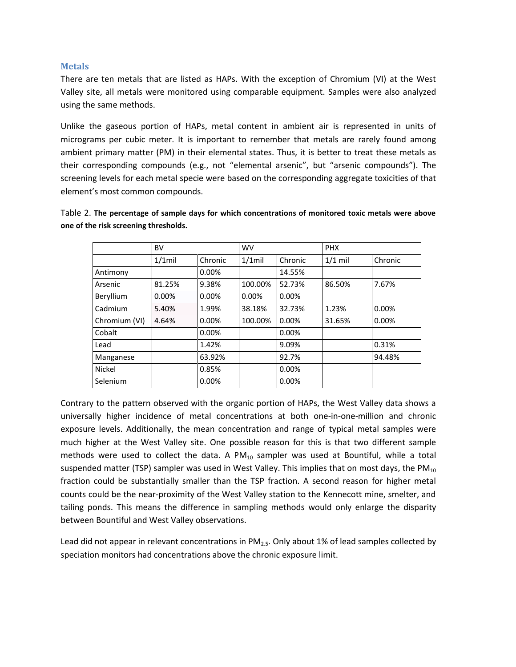#### **Metals**

There are ten metals that are listed as HAPs. With the exception of Chromium (VI) at the West Valley site, all metals were monitored using comparable equipment. Samples were also analyzed using the same methods.

Unlike the gaseous portion of HAPs, metal content in ambient air is represented in units of micrograms per cubic meter. It is important to remember that metals are rarely found among ambient primary matter (PM) in their elemental states. Thus, it is better to treat these metals as their corresponding compounds (e.g., not "elemental arsenic", but "arsenic compounds"). The screening levels for each metal specie were based on the corresponding aggregate toxicities of that element's most common compounds.

Table 2. **The percentage of sample days for which concentrations of monitored toxic metals were above one of the risk screening thresholds.**

|               | <b>BV</b> |         | <b>WV</b> |          | <b>PHX</b> |         |
|---------------|-----------|---------|-----------|----------|------------|---------|
|               | $1/1$ mil | Chronic | $1/1$ mil | Chronic  | $1/1$ mil  | Chronic |
| Antimony      |           | 0.00%   |           | 14.55%   |            |         |
| Arsenic       | 81.25%    | 9.38%   | 100.00%   | 52.73%   | 86.50%     | 7.67%   |
| Beryllium     | 0.00%     | 0.00%   | 0.00%     | 0.00%    |            |         |
| Cadmium       | 5.40%     | 1.99%   | 38.18%    | 32.73%   | 1.23%      | 0.00%   |
| Chromium (VI) | 4.64%     | 0.00%   | 100.00%   | $0.00\%$ | 31.65%     | 0.00%   |
| Cobalt        |           | 0.00%   |           | 0.00%    |            |         |
| Lead          |           | 1.42%   |           | 9.09%    |            | 0.31%   |
| Manganese     |           | 63.92%  |           | 92.7%    |            | 94.48%  |
| Nickel        |           | 0.85%   |           | 0.00%    |            |         |
| Selenium      |           | 0.00%   |           | 0.00%    |            |         |

Contrary to the pattern observed with the organic portion of HAPs, the West Valley data shows a universally higher incidence of metal concentrations at both one-in-one-million and chronic exposure levels. Additionally, the mean concentration and range of typical metal samples were much higher at the West Valley site. One possible reason for this is that two different sample methods were used to collect the data. A  $PM_{10}$  sampler was used at Bountiful, while a total suspended matter (TSP) sampler was used in West Valley. This implies that on most days, the  $PM_{10}$ fraction could be substantially smaller than the TSP fraction. A second reason for higher metal counts could be the near-proximity of the West Valley station to the Kennecott mine, smelter, and tailing ponds. This means the difference in sampling methods would only enlarge the disparity between Bountiful and West Valley observations.

Lead did not appear in relevant concentrations in  $PM<sub>2.5</sub>$ . Only about 1% of lead samples collected by speciation monitors had concentrations above the chronic exposure limit.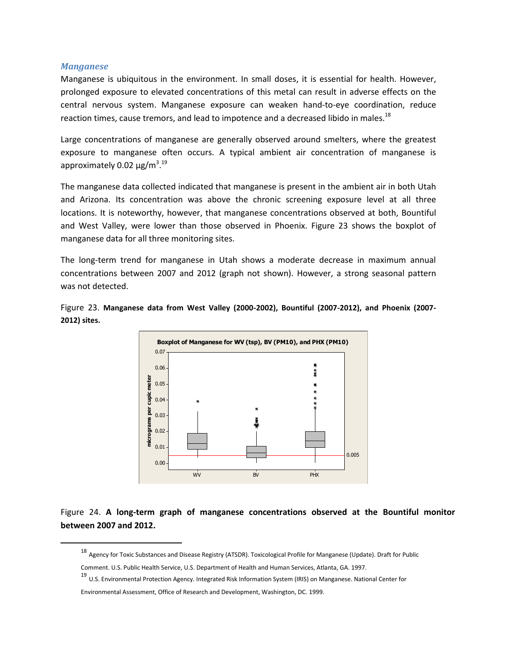#### *Manganese*

 $\overline{a}$ 

Manganese is ubiquitous in the environment. In small doses, it is essential for health. However, prolonged exposure to elevated concentrations of this metal can result in adverse effects on the central nervous system. Manganese exposure can weaken hand-to-eye coordination, reduce reaction times, cause tremors, and lead to impotence and a decreased libido in males. $^{18}$ 

Large concentrations of manganese are generally observed around smelters, where the greatest exposure to manganese often occurs. A typical ambient air concentration of manganese is approximately 0.02 μg/m<sup>3</sup>.<sup>19</sup>

The manganese data collected indicated that manganese is present in the ambient air in both Utah and Arizona. Its concentration was above the chronic screening exposure level at all three locations. It is noteworthy, however, that manganese concentrations observed at both, Bountiful and West Valley, were lower than those observed in Phoenix. Figure 23 shows the boxplot of manganese data for all three monitoring sites.

The long-term trend for manganese in Utah shows a moderate decrease in maximum annual concentrations between 2007 and 2012 (graph not shown). However, a strong seasonal pattern was not detected.





Figure 24. **A long-term graph of manganese concentrations observed at the Bountiful monitor between 2007 and 2012.**

<sup>18</sup> Agency for Toxic Substances and Disease Registry (ATSDR). Toxicological Profile for Manganese (Update). Draft for Public

Comment. U.S. Public Health Service, U.S. Department of Health and Human Services, Atlanta, GA. 1997.

<sup>19</sup> U.S. Environmental Protection Agency. [Integrated Risk Information System \(IRIS\) on Manganese.](http://www.epa.gov/iris/subst/0373.htm) National Center for

Environmental Assessment, Office of Research and Development, Washington, DC. 1999.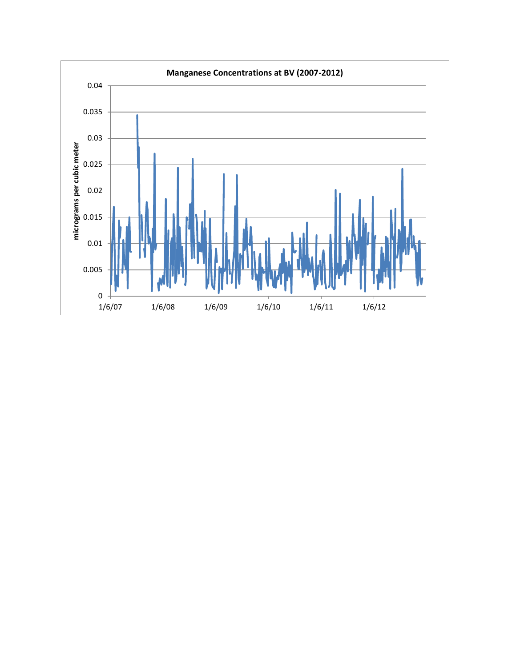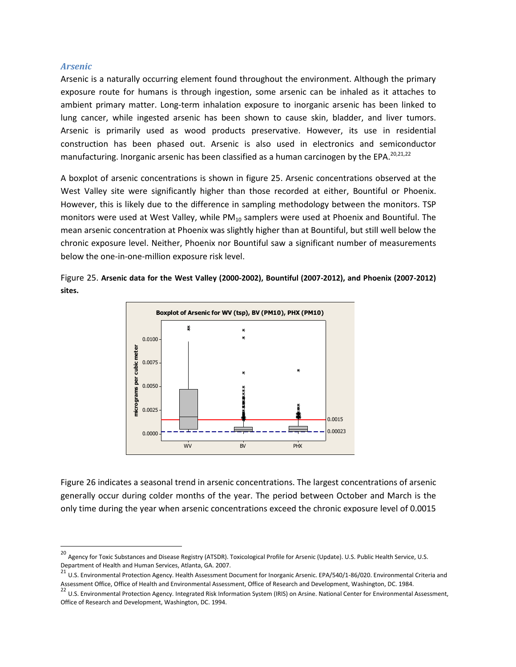#### *Arsenic*

 $\overline{\phantom{a}}$ 

Arsenic is a naturally occurring element found throughout the environment. Although the primary exposure route for humans is through ingestion, some arsenic can be inhaled as it attaches to ambient primary matter. Long-term inhalation exposure to inorganic arsenic has been linked to lung cancer, while ingested arsenic has been shown to cause skin, bladder, and liver tumors. Arsenic is primarily used as wood products preservative. However, its use in residential construction has been phased out. Arsenic is also used in electronics and semiconductor manufacturing. Inorganic arsenic has been classified as a human carcinogen by the EPA.<sup>20,21,22</sup>

A boxplot of arsenic concentrations is shown in figure 25. Arsenic concentrations observed at the West Valley site were significantly higher than those recorded at either, Bountiful or Phoenix. However, this is likely due to the difference in sampling methodology between the monitors. TSP monitors were used at West Valley, while  $PM_{10}$  samplers were used at Phoenix and Bountiful. The mean arsenic concentration at Phoenix was slightly higher than at Bountiful, but still well below the chronic exposure level. Neither, Phoenix nor Bountiful saw a significant number of measurements below the one-in-one-million exposure risk level.

Figure 25. **Arsenic data for the West Valley (2000-2002), Bountiful (2007-2012), and Phoenix (2007-2012) sites.**



Figure 26 indicates a seasonal trend in arsenic concentrations. The largest concentrations of arsenic generally occur during colder months of the year. The period between October and March is the only time during the year when arsenic concentrations exceed the chronic exposure level of 0.0015

<sup>&</sup>lt;sup>20</sup> Agency for Toxic Substances and Disease Registry (ATSDR). Toxicological Profile for Arsenic (Update). U.S. Public Health Service, U.S.

Department of Health and Human Services, Atlanta, GA. 2007.<br><sup>21</sup> U.S. Environmental Protection Agency. Health Assessment Document for Inorganic Arsenic. EPA/540/1-86/020. Environmental Criteria and Assessment Office, Office of Health and Environmental Assessment, Office of Research and Development, Washington, DC. 1984.

<sup>&</sup>lt;sup>22</sup> U.S. Environmental Protection Agency. [Integrated Risk Information System \(IRIS\) on Arsine.](http://www.epa.gov/iris/subst/0672.htm) National Center for Environmental Assessment, Office of Research and Development, Washington, DC. 1994.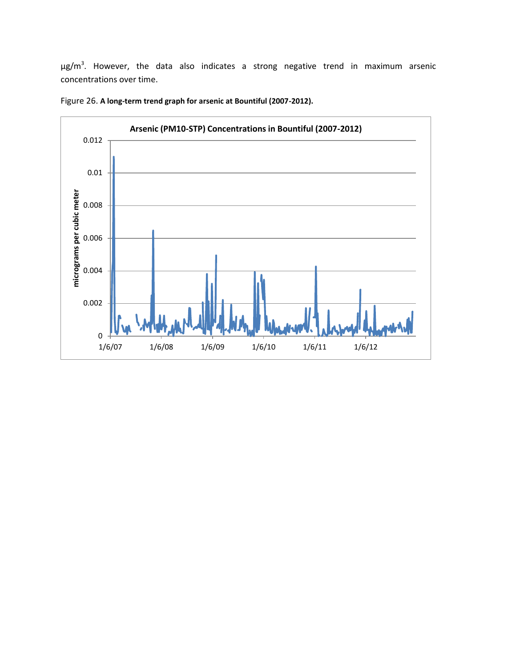μg/m<sup>3</sup>. However, the data also indicates a strong negative trend in maximum arsenic concentrations over time.



Figure 26. **A long-term trend graph for arsenic at Bountiful (2007-2012).**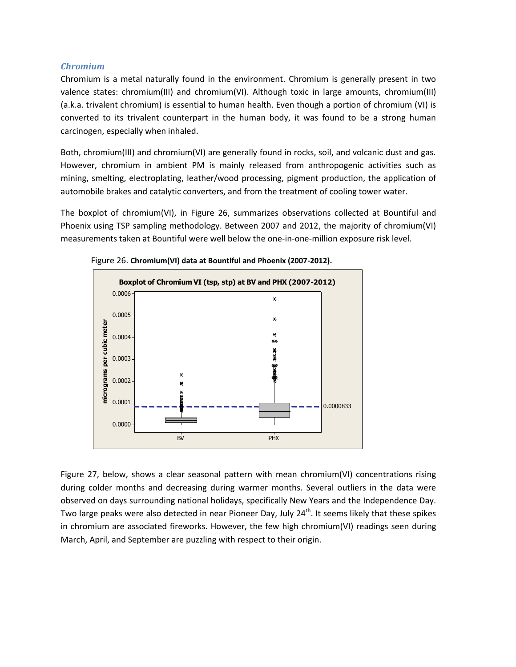#### *Chromium*

Chromium is a metal naturally found in the environment. Chromium is generally present in two valence states: chromium(III) and chromium(VI). Although toxic in large amounts, chromium(III) (a.k.a. trivalent chromium) is essential to human health. Even though a portion of chromium (VI) is converted to its trivalent counterpart in the human body, it was found to be a strong human carcinogen, especially when inhaled.

Both, chromium(III) and chromium(VI) are generally found in rocks, soil, and volcanic dust and gas. However, chromium in ambient PM is mainly released from anthropogenic activities such as mining, smelting, electroplating, leather/wood processing, pigment production, the application of automobile brakes and catalytic converters, and from the treatment of cooling tower water.

The boxplot of chromium(VI), in Figure 26, summarizes observations collected at Bountiful and Phoenix using TSP sampling methodology. Between 2007 and 2012, the majority of chromium(VI) measurements taken at Bountiful were well below the one-in-one-million exposure risk level.



Figure 26. **Chromium(VI) data at Bountiful and Phoenix (2007-2012).**

Figure 27, below, shows a clear seasonal pattern with mean chromium(VI) concentrations rising during colder months and decreasing during warmer months. Several outliers in the data were observed on days surrounding national holidays, specifically New Years and the Independence Day. Two large peaks were also detected in near Pioneer Day, July 24<sup>th</sup>. It seems likely that these spikes in chromium are associated fireworks. However, the few high chromium(VI) readings seen during March, April, and September are puzzling with respect to their origin.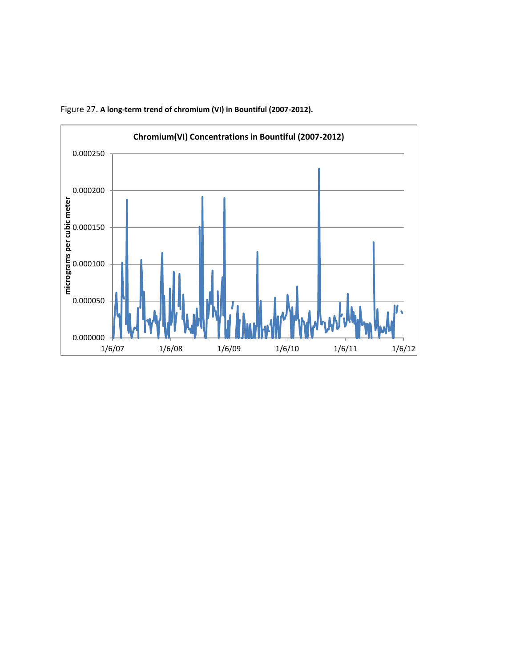

Figure 27. **A long-term trend of chromium (VI) in Bountiful (2007-2012).**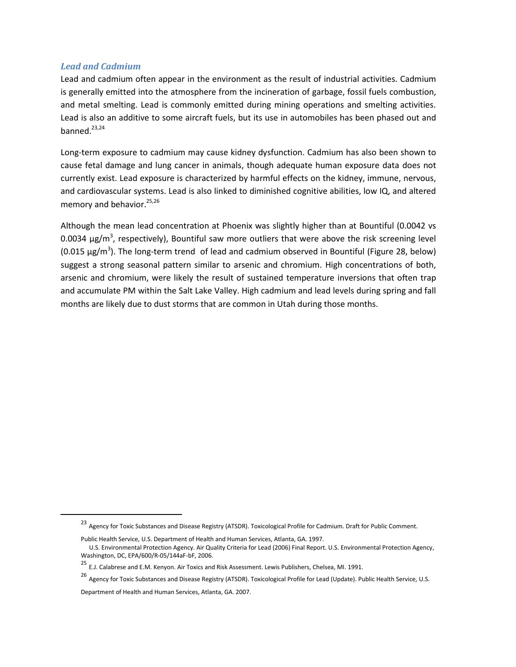#### *Lead and Cadmium*

Lead and cadmium often appear in the environment as the result of industrial activities. Cadmium is generally emitted into the atmosphere from the incineration of garbage, fossil fuels combustion, and metal smelting. Lead is commonly emitted during mining operations and smelting activities. Lead is also an additive to some aircraft fuels, but its use in automobiles has been phased out and banned. $23,24$ 

Long-term exposure to cadmium may cause kidney dysfunction. Cadmium has also been shown to cause fetal damage and lung cancer in animals, though adequate human exposure data does not currently exist. Lead exposure is characterized by harmful effects on the kidney, immune, nervous, and cardiovascular systems. Lead is also linked to diminished cognitive abilities, low IQ, and altered memory and behavior.<sup>25,26</sup>

Although the mean lead concentration at Phoenix was slightly higher than at Bountiful (0.0042 vs 0.0034 μg/m<sup>3</sup>, respectively), Bountiful saw more outliers that were above the risk screening level (0.015  $\mu$ g/m<sup>3</sup>). The long-term trend of lead and cadmium observed in Bountiful (Figure 28, below) suggest a strong seasonal pattern similar to arsenic and chromium. High concentrations of both, arsenic and chromium, were likely the result of sustained temperature inversions that often trap and accumulate PM within the Salt Lake Valley. High cadmium and lead levels during spring and fall months are likely due to dust storms that are common in Utah during those months.

 $\overline{\phantom{a}}$ 

<sup>23</sup> Agency for Toxic Substances and Disease Registry (ATSDR). Toxicological Profile for Cadmium. Draft for Public Comment.

Public Health Service, U.S. Department of Health and Human Services, Atlanta, GA. 1997.

U.S. Environmental Protection Agency. Air Quality Criteria for Lead (2006) Final Report. U.S. Environmental Protection Agency, Washington, DC, EPA/600/R-05/144aF-bF, 2006.

<sup>25</sup> E.J. Calabrese and E.M. Kenyon. Air Toxics and Risk Assessment. Lewis Publishers, Chelsea, MI. 1991.

<sup>26</sup> Agency for Toxic Substances and Disease Registry (ATSDR). Toxicological Profile for Lead (Update). Public Health Service, U.S.

Department of Health and Human Services, Atlanta, GA. 2007.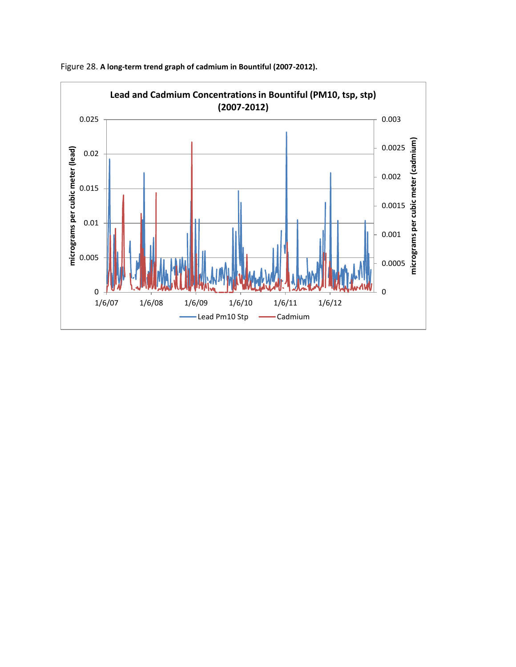

Figure 28. **A long-term trend graph of cadmium in Bountiful (2007-2012).**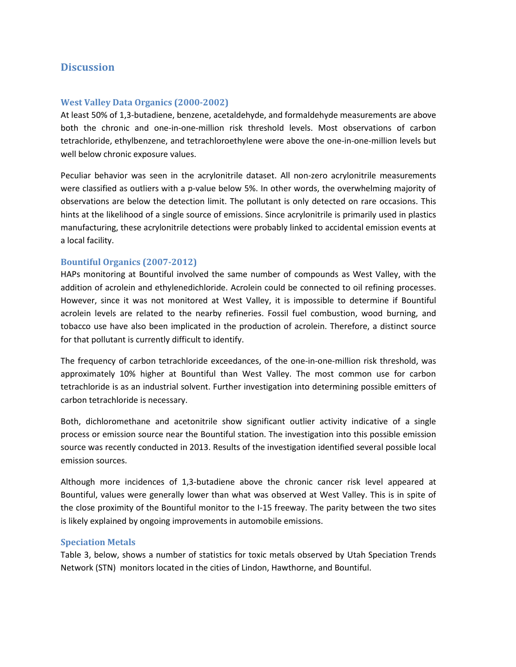# **Discussion**

### **West Valley Data Organics (2000-2002)**

At least 50% of 1,3-butadiene, benzene, acetaldehyde, and formaldehyde measurements are above both the chronic and one-in-one-million risk threshold levels. Most observations of carbon tetrachloride, ethylbenzene, and tetrachloroethylene were above the one-in-one-million levels but well below chronic exposure values.

Peculiar behavior was seen in the acrylonitrile dataset. All non-zero acrylonitrile measurements were classified as outliers with a p-value below 5%. In other words, the overwhelming majority of observations are below the detection limit. The pollutant is only detected on rare occasions. This hints at the likelihood of a single source of emissions. Since acrylonitrile is primarily used in plastics manufacturing, these acrylonitrile detections were probably linked to accidental emission events at a local facility.

#### **Bountiful Organics (2007-2012)**

HAPs monitoring at Bountiful involved the same number of compounds as West Valley, with the addition of acrolein and ethylenedichloride. Acrolein could be connected to oil refining processes. However, since it was not monitored at West Valley, it is impossible to determine if Bountiful acrolein levels are related to the nearby refineries. Fossil fuel combustion, wood burning, and tobacco use have also been implicated in the production of acrolein. Therefore, a distinct source for that pollutant is currently difficult to identify.

The frequency of carbon tetrachloride exceedances, of the one-in-one-million risk threshold, was approximately 10% higher at Bountiful than West Valley. The most common use for carbon tetrachloride is as an industrial solvent. Further investigation into determining possible emitters of carbon tetrachloride is necessary.

Both, dichloromethane and acetonitrile show significant outlier activity indicative of a single process or emission source near the Bountiful station. The investigation into this possible emission source was recently conducted in 2013. Results of the investigation identified several possible local emission sources.

Although more incidences of 1,3-butadiene above the chronic cancer risk level appeared at Bountiful, values were generally lower than what was observed at West Valley. This is in spite of the close proximity of the Bountiful monitor to the I-15 freeway. The parity between the two sites is likely explained by ongoing improvements in automobile emissions.

#### **Speciation Metals**

Table 3, below, shows a number of statistics for toxic metals observed by Utah Speciation Trends Network (STN) monitors located in the cities of Lindon, Hawthorne, and Bountiful.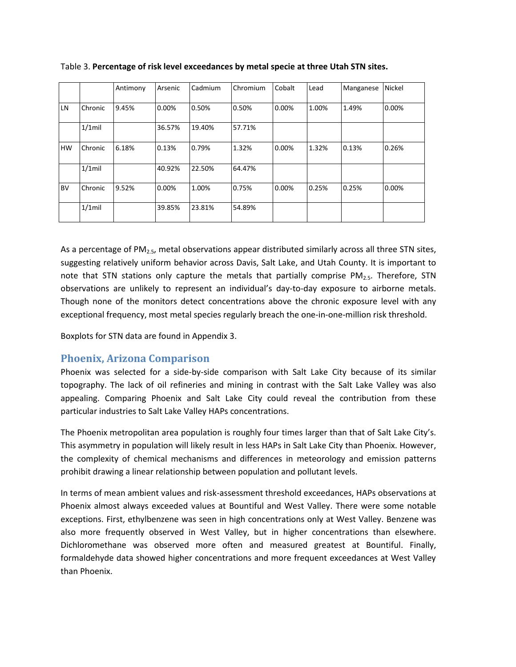|           |           | Antimony | Arsenic | Cadmium | Chromium | Cobalt | Lead  | Manganese | <b>Nickel</b> |
|-----------|-----------|----------|---------|---------|----------|--------|-------|-----------|---------------|
| i LN      | Chronic   | 9.45%    | 0.00%   | 0.50%   | 0.50%    | 0.00%  | 1.00% | 1.49%     | 0.00%         |
|           | $1/1$ mil |          | 36.57%  | 19.40%  | 57.71%   |        |       |           |               |
| <b>HW</b> | Chronic   | 6.18%    | 0.13%   | 0.79%   | 1.32%    | 0.00%  | 1.32% | 0.13%     | 0.26%         |
|           | $1/1$ mil |          | 40.92%  | 22.50%  | 64.47%   |        |       |           |               |
| <b>BV</b> | Chronic   | 9.52%    | 0.00%   | 1.00%   | 0.75%    | 0.00%  | 0.25% | 0.25%     | 0.00%         |
|           | $1/1$ mil |          | 39.85%  | 23.81%  | 54.89%   |        |       |           |               |

Table 3. **Percentage of risk level exceedances by metal specie at three Utah STN sites.**

As a percentage of PM<sub>2.5</sub>, metal observations appear distributed similarly across all three STN sites, suggesting relatively uniform behavior across Davis, Salt Lake, and Utah County. It is important to note that STN stations only capture the metals that partially comprise  $PM_{2.5}$ . Therefore, STN observations are unlikely to represent an individual's day-to-day exposure to airborne metals. Though none of the monitors detect concentrations above the chronic exposure level with any exceptional frequency, most metal species regularly breach the one-in-one-million risk threshold.

Boxplots for STN data are found in Appendix 3.

# **Phoenix, Arizona Comparison**

Phoenix was selected for a side-by-side comparison with Salt Lake City because of its similar topography. The lack of oil refineries and mining in contrast with the Salt Lake Valley was also appealing. Comparing Phoenix and Salt Lake City could reveal the contribution from these particular industries to Salt Lake Valley HAPs concentrations.

The Phoenix metropolitan area population is roughly four times larger than that of Salt Lake City's. This asymmetry in population will likely result in less HAPs in Salt Lake City than Phoenix. However, the complexity of chemical mechanisms and differences in meteorology and emission patterns prohibit drawing a linear relationship between population and pollutant levels.

In terms of mean ambient values and risk-assessment threshold exceedances, HAPs observations at Phoenix almost always exceeded values at Bountiful and West Valley. There were some notable exceptions. First, ethylbenzene was seen in high concentrations only at West Valley. Benzene was also more frequently observed in West Valley, but in higher concentrations than elsewhere. Dichloromethane was observed more often and measured greatest at Bountiful. Finally, formaldehyde data showed higher concentrations and more frequent exceedances at West Valley than Phoenix.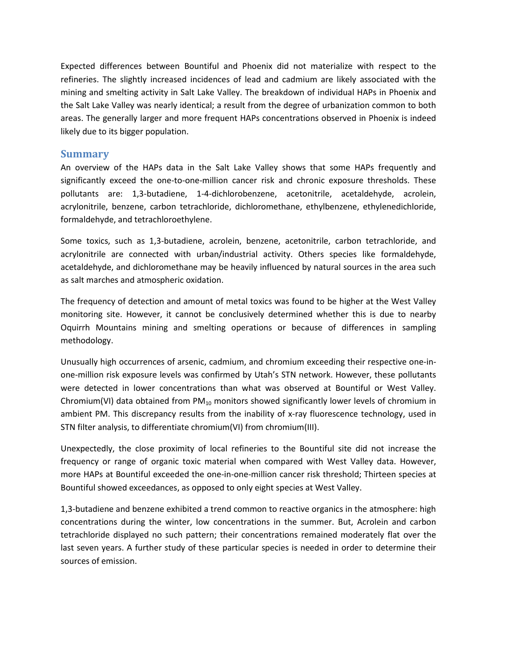Expected differences between Bountiful and Phoenix did not materialize with respect to the refineries. The slightly increased incidences of lead and cadmium are likely associated with the mining and smelting activity in Salt Lake Valley. The breakdown of individual HAPs in Phoenix and the Salt Lake Valley was nearly identical; a result from the degree of urbanization common to both areas. The generally larger and more frequent HAPs concentrations observed in Phoenix is indeed likely due to its bigger population.

## **Summary**

An overview of the HAPs data in the Salt Lake Valley shows that some HAPs frequently and significantly exceed the one-to-one-million cancer risk and chronic exposure thresholds. These pollutants are: 1,3-butadiene, 1-4-dichlorobenzene, acetonitrile, acetaldehyde, acrolein, acrylonitrile, benzene, carbon tetrachloride, dichloromethane, ethylbenzene, ethylenedichloride, formaldehyde, and tetrachloroethylene.

Some toxics, such as 1,3-butadiene, acrolein, benzene, acetonitrile, carbon tetrachloride, and acrylonitrile are connected with urban/industrial activity. Others species like formaldehyde, acetaldehyde, and dichloromethane may be heavily influenced by natural sources in the area such as salt marches and atmospheric oxidation.

The frequency of detection and amount of metal toxics was found to be higher at the West Valley monitoring site. However, it cannot be conclusively determined whether this is due to nearby Oquirrh Mountains mining and smelting operations or because of differences in sampling methodology.

Unusually high occurrences of arsenic, cadmium, and chromium exceeding their respective one-inone-million risk exposure levels was confirmed by Utah's STN network. However, these pollutants were detected in lower concentrations than what was observed at Bountiful or West Valley. Chromium(VI) data obtained from  $PM_{10}$  monitors showed significantly lower levels of chromium in ambient PM. This discrepancy results from the inability of x-ray fluorescence technology, used in STN filter analysis, to differentiate chromium(VI) from chromium(III).

Unexpectedly, the close proximity of local refineries to the Bountiful site did not increase the frequency or range of organic toxic material when compared with West Valley data. However, more HAPs at Bountiful exceeded the one-in-one-million cancer risk threshold; Thirteen species at Bountiful showed exceedances, as opposed to only eight species at West Valley.

1,3-butadiene and benzene exhibited a trend common to reactive organics in the atmosphere: high concentrations during the winter, low concentrations in the summer. But, Acrolein and carbon tetrachloride displayed no such pattern; their concentrations remained moderately flat over the last seven years. A further study of these particular species is needed in order to determine their sources of emission.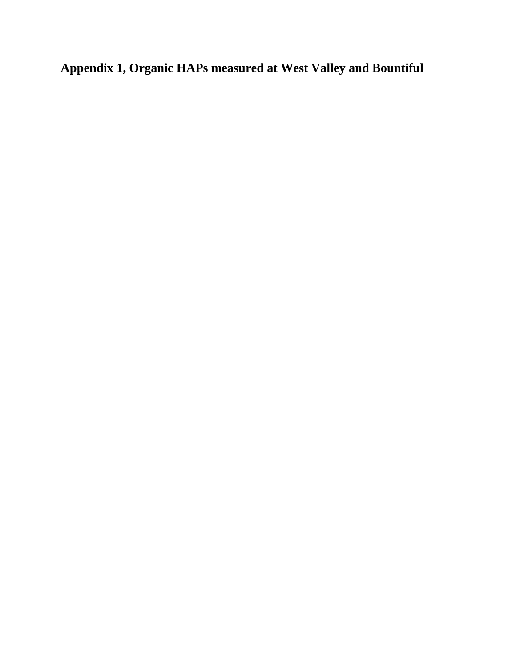**Appendix 1, Organic HAPs measured at West Valley and Bountiful**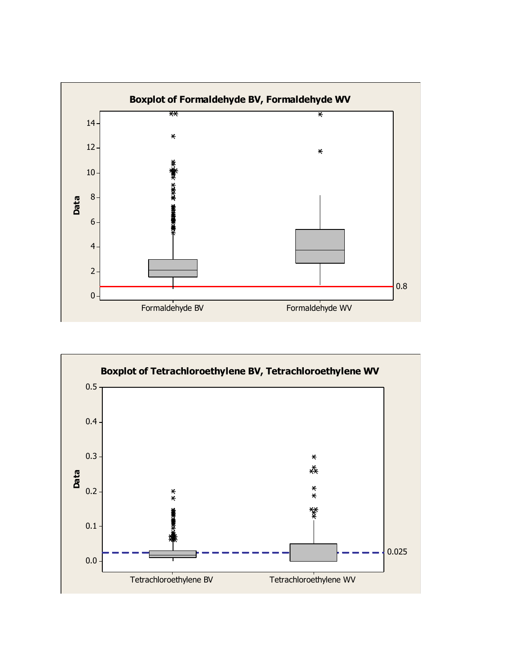

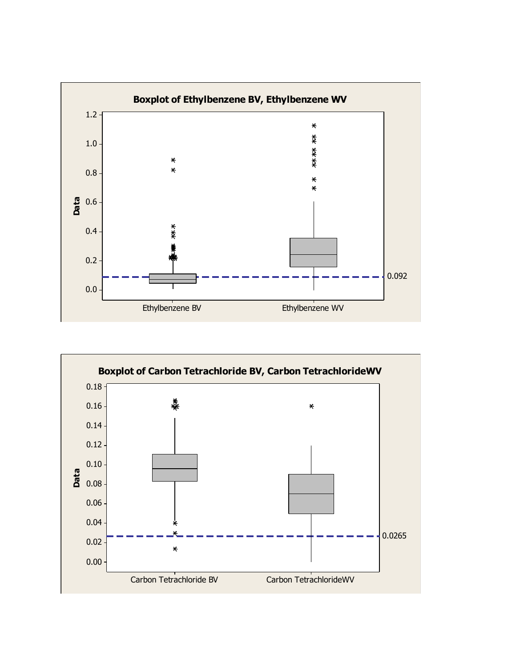

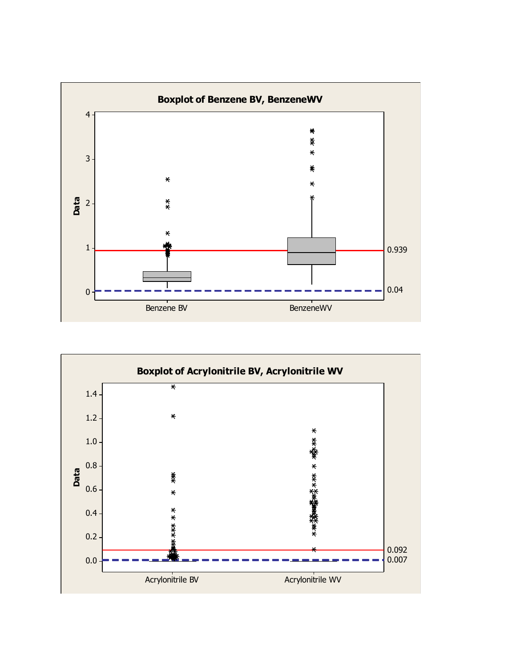

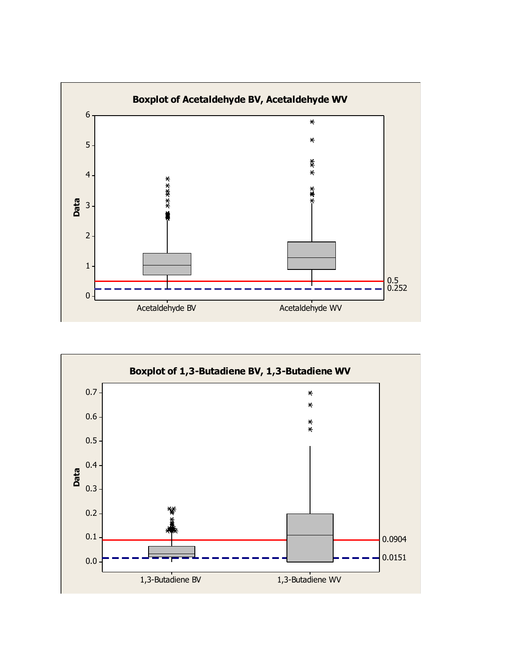

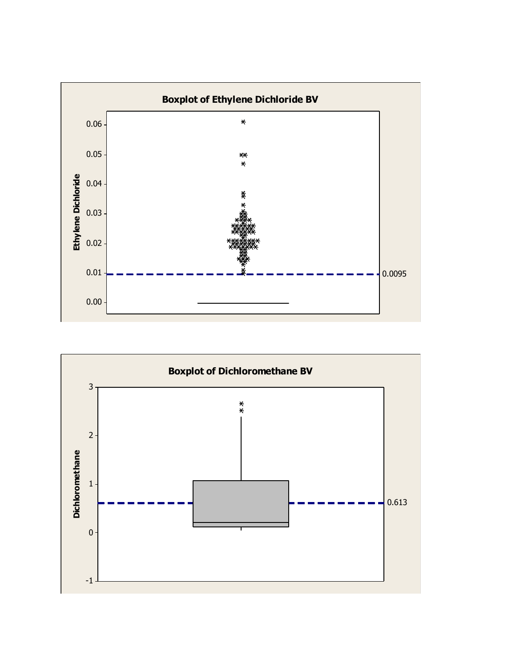

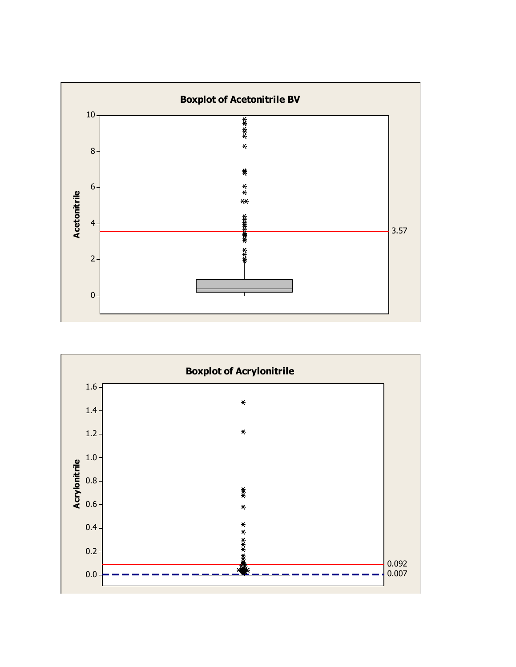

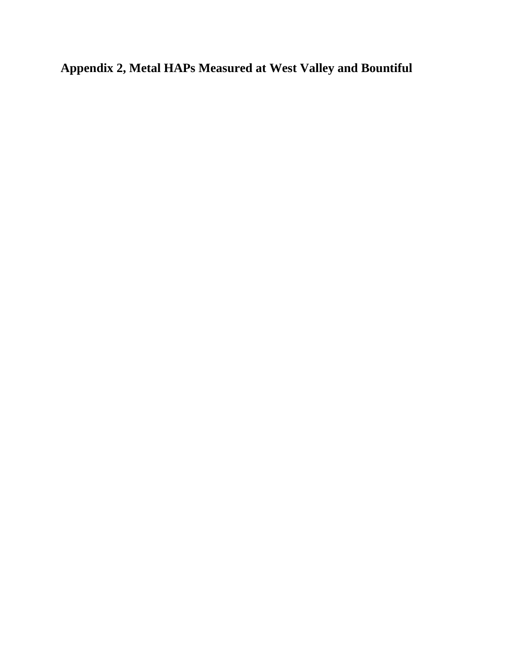**Appendix 2, Metal HAPs Measured at West Valley and Bountiful**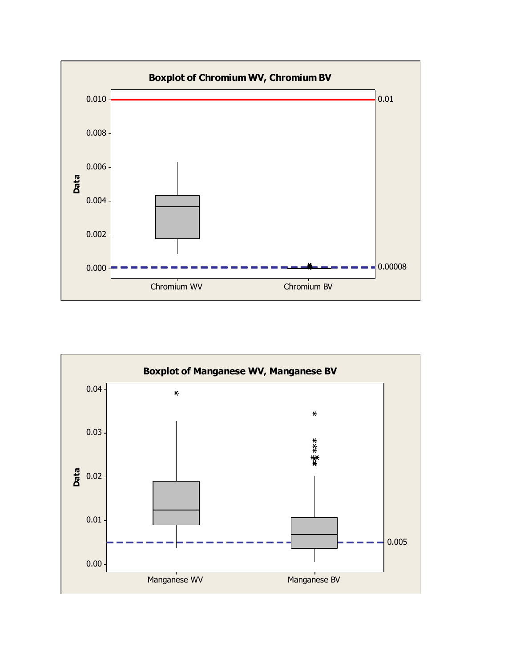

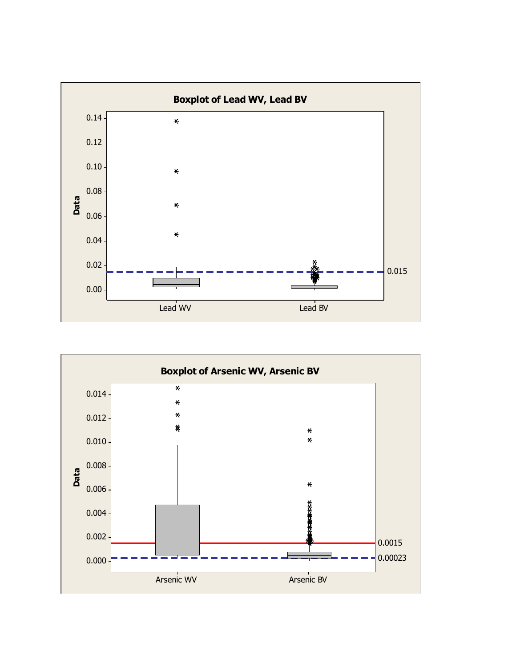

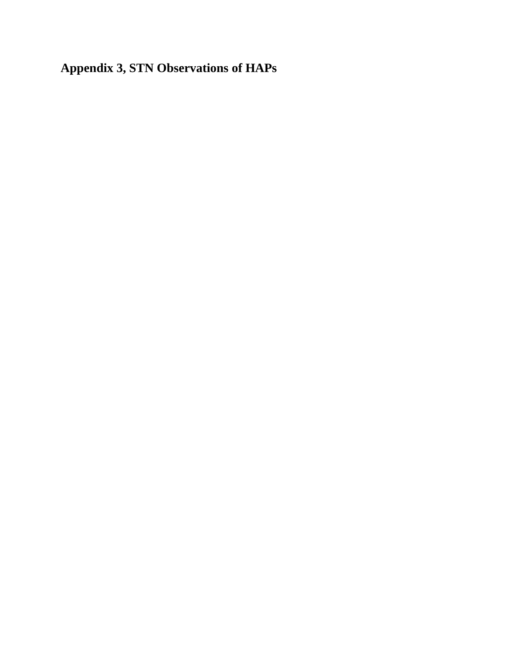**Appendix 3, STN Observations of HAPs**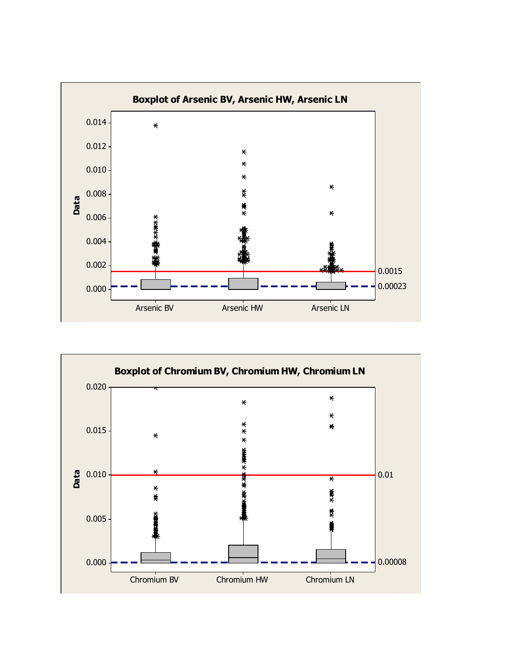